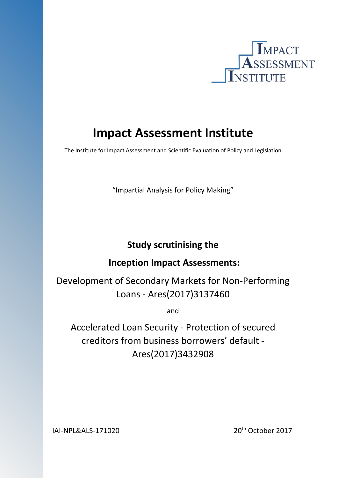

# **Impact Assessment Institute**

The Institute for Impact Assessment and Scientific Evaluation of Policy and Legislation

"Impartial Analysis for Policy Making"

## **Study scrutinising the**

## **Inception Impact Assessments:**

Development of Secondary Markets for Non-Performing Loans - Ares(2017)3137460

and

Accelerated Loan Security - Protection of secured creditors from business borrowers' default - Ares(2017)3432908

IAI-NPL&ALS-171020 20<sup>th</sup> October 2017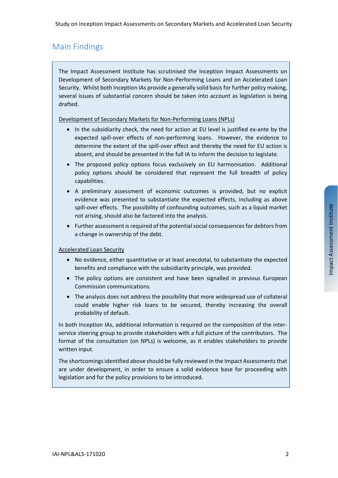Study on Inception Impact Assessments on Secondary Markets and Accelerated Loan Security

## Main Findings

The Impact Assessment Institute has scrutinised the Inception Impact Assessments on Development of Secondary Markets for Non-Performing Loans and on Accelerated Loan Security. Whilst both Inception IAs provide a generally solid basis for further policy making, several issues of substantial concern should be taken into account as legislation is being drafted.

#### Development of Secondary Markets for Non-Performing Loans (NPLs)

- In the subsidiarity check, the need for action at EU level is justified ex-ante by the expected spill-over effects of non-performing loans. However, the evidence to determine the extent of the spill-over effect and thereby the need for EU action is absent, and should be presented in the full IA to inform the decision to legislate.
- The proposed policy options focus exclusively on EU harmonisation. Additional policy options should be considered that represent the full breadth of policy capabilities.
- A preliminary assessment of economic outcomes is provided, but no explicit evidence was presented to substantiate the expected effects, including as above spill-over effects. The possibility of confounding outcomes, such as a liquid market not arising, should also be factored into the analysis.
- Further assessment is required of the potential social consequences for debtors from a change in ownership of the debt.

#### Accelerated Loan Security

- No evidence, either quantitative or at least anecdotal, to substantiate the expected benefits and compliance with the subsidiarity principle, was provided.
- The policy options are consistent and have been signalled in previous European Commission communications.
- The analysis does not address the possibility that more widespread use of collateral could enable higher risk loans to be secured, thereby increasing the overall probability of default.

In both Inception IAs, additional information is required on the composition of the interservice steering group to provide stakeholders with a full picture of the contributors. The format of the consultation (on NPLs) is welcome, as it enables stakeholders to provide written input.

The shortcomings identified above should be fully reviewed in the Impact Assessments that are under development, in order to ensure a solid evidence base for proceeding with legislation and for the policy provisions to be introduced.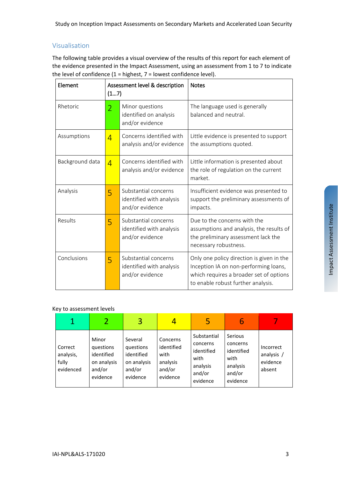#### Visualisation

The following table provides a visual overview of the results of this report for each element of the evidence presented in the Impact Assessment, using an assessment from 1 to 7 to indicate the level of confidence  $(1 =$  highest,  $7 =$  lowest confidence level).

| Element                    | (17)                                                                     | Assessment level & description                                      | <b>Notes</b>                                                                                                                                                        |  |  |
|----------------------------|--------------------------------------------------------------------------|---------------------------------------------------------------------|---------------------------------------------------------------------------------------------------------------------------------------------------------------------|--|--|
| Rhetoric<br>$\overline{2}$ |                                                                          | Minor questions<br>identified on analysis<br>and/or evidence        | The language used is generally<br>balanced and neutral.                                                                                                             |  |  |
| Assumptions                | $\overline{4}$                                                           | Concerns identified with<br>analysis and/or evidence                | Little evidence is presented to support<br>the assumptions quoted.                                                                                                  |  |  |
| Background data            | $\overline{4}$                                                           | Concerns identified with<br>analysis and/or evidence                | Little information is presented about<br>the role of regulation on the current<br>market.                                                                           |  |  |
| Analysis                   | 5                                                                        | Substantial concerns<br>identified with analysis<br>and/or evidence | Insufficient evidence was presented to<br>support the preliminary assessments of<br>impacts.                                                                        |  |  |
| Results                    | 5                                                                        | Substantial concerns<br>identified with analysis<br>and/or evidence | Due to the concerns with the<br>assumptions and analysis, the results of<br>the preliminary assessment lack the<br>necessary robustness.                            |  |  |
| Conclusions                | Substantial concerns<br>5<br>identified with analysis<br>and/or evidence |                                                                     | Only one policy direction is given in the<br>Inception IA on non-performing loans,<br>which requires a broader set of options<br>to enable robust further analysis. |  |  |

#### Key to assessment levels

|                                            |                                                                       | 3                                                                       |                                                                  | 5                                                                               | 6                                                                           |                                               |
|--------------------------------------------|-----------------------------------------------------------------------|-------------------------------------------------------------------------|------------------------------------------------------------------|---------------------------------------------------------------------------------|-----------------------------------------------------------------------------|-----------------------------------------------|
| Correct<br>analysis,<br>fully<br>evidenced | Minor<br>questions<br>identified<br>on analysis<br>and/or<br>evidence | Several<br>questions<br>identified<br>on analysis<br>and/or<br>evidence | Concerns<br>identified<br>with<br>analysis<br>and/or<br>evidence | Substantial<br>concerns<br>identified<br>with<br>analysis<br>and/or<br>evidence | Serious<br>concerns<br>identified<br>with<br>analysis<br>and/or<br>evidence | Incorrect<br>analysis /<br>evidence<br>absent |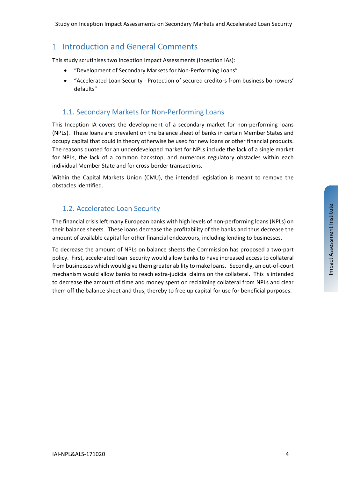## 1. Introduction and General Comments

This study scrutinises two Inception Impact Assessments (Inception IAs):

- "Development of Secondary Markets for Non-Performing Loans"
- "Accelerated Loan Security Protection of secured creditors from business borrowers' defaults"

## 1.1. Secondary Markets for Non-Performing Loans

This Inception IA covers the development of a secondary market for non-performing loans (NPLs). These loans are prevalent on the balance sheet of banks in certain Member States and occupy capital that could in theory otherwise be used for new loans or other financial products. The reasons quoted for an underdeveloped market for NPLs include the lack of a single market for NPLs, the lack of a common backstop, and numerous regulatory obstacles within each individual Member State and for cross-border transactions.

Within the Capital Markets Union (CMU), the intended legislation is meant to remove the obstacles identified.

## 1.2. Accelerated Loan Security

The financial crisis left many European banks with high levels of non-performing loans (NPLs) on their balance sheets. These loans decrease the profitability of the banks and thus decrease the amount of available capital for other financial endeavours, including lending to businesses.

To decrease the amount of NPLs on balance sheets the Commission has proposed a two-part policy. First, accelerated loan security would allow banks to have increased access to collateral from businesses which would give them greater ability to make loans. Secondly, an out-of-court mechanism would allow banks to reach extra-judicial claims on the collateral. This is intended to decrease the amount of time and money spent on reclaiming collateral from NPLs and clear them off the balance sheet and thus, thereby to free up capital for use for beneficial purposes.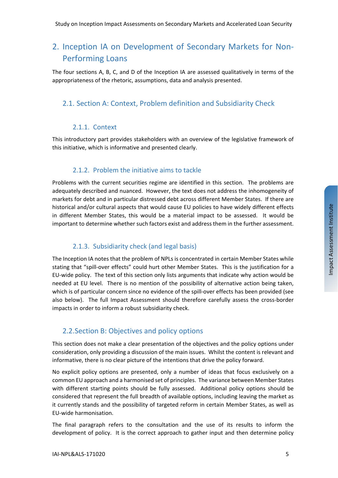## 2. Inception IA on Development of Secondary Markets for Non-Performing Loans

The four sections A, B, C, and D of the Inception IA are assessed qualitatively in terms of the appropriateness of the rhetoric, assumptions, data and analysis presented.

## 2.1. Section A: Context, Problem definition and Subsidiarity Check

#### 2.1.1. Context

This introductory part provides stakeholders with an overview of the legislative framework of this initiative, which is informative and presented clearly.

#### 2.1.2. Problem the initiative aims to tackle

Problems with the current securities regime are identified in this section. The problems are adequately described and nuanced. However, the text does not address the inhomogeneity of markets for debt and in particular distressed debt across different Member States. If there are historical and/or cultural aspects that would cause EU policies to have widely different effects in different Member States, this would be a material impact to be assessed. It would be important to determine whether such factors exist and address them in the further assessment.

#### 2.1.3. Subsidiarity check (and legal basis)

The Inception IA notes that the problem of NPLs is concentrated in certain Member States while stating that "spill-over effects" could hurt other Member States. This is the justification for a EU-wide policy. The text of this section only lists arguments that indicate why action would be needed at EU level. There is no mention of the possibility of alternative action being taken, which is of particular concern since no evidence of the spill-over effects has been provided (see also below). The full Impact Assessment should therefore carefully assess the cross-border impacts in order to inform a robust subsidiarity check.

#### <span id="page-4-0"></span>2.2.Section B: Objectives and policy options

This section does not make a clear presentation of the objectives and the policy options under consideration, only providing a discussion of the main issues. Whilst the content is relevant and informative, there is no clear picture of the intentions that drive the policy forward.

No explicit policy options are presented, only a number of ideas that focus exclusively on a common EU approach and a harmonised set of principles. The variance between Member States with different starting points should be fully assessed. Additional policy options should be considered that represent the full breadth of available options, including leaving the market as it currently stands and the possibility of targeted reform in certain Member States, as well as EU-wide harmonisation.

The final paragraph refers to the consultation and the use of its results to inform the development of policy. It is the correct approach to gather input and then determine policy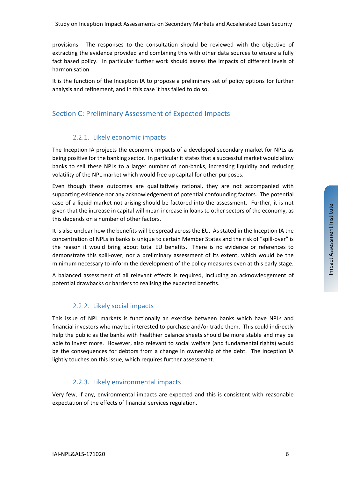provisions. The responses to the consultation should be reviewed with the objective of extracting the evidence provided and combining this with other data sources to ensure a fully fact based policy. In particular further work should assess the impacts of different levels of harmonisation.

It is the function of the Inception IA to propose a preliminary set of policy options for further analysis and refinement, and in this case it has failed to do so.

#### Section C: Preliminary Assessment of Expected Impacts

#### 2.2.1. Likely economic impacts

The Inception IA projects the economic impacts of a developed secondary market for NPLs as being positive for the banking sector. In particular it states that a successful market would allow banks to sell these NPLs to a larger number of non-banks, increasing liquidity and reducing volatility of the NPL market which would free up capital for other purposes.

Even though these outcomes are qualitatively rational, they are not accompanied with supporting evidence nor any acknowledgement of potential confounding factors. The potential case of a liquid market not arising should be factored into the assessment. Further, it is not given that the increase in capital will mean increase in loans to other sectors of the economy, as this depends on a number of other factors.

It is also unclear how the benefits will be spread across the EU. As stated in the Inception IA the concentration of NPLs in banks is unique to certain Member States and the risk of "spill-over" is the reason it would bring about total EU benefits. There is no evidence or references to demonstrate this spill-over, nor a preliminary assessment of its extent, which would be the minimum necessary to inform the development of the policy measures even at this early stage.

A balanced assessment of all relevant effects is required, including an acknowledgement of potential drawbacks or barriers to realising the expected benefits.

#### 2.2.2. Likely social impacts

This issue of NPL markets is functionally an exercise between banks which have NPLs and financial investors who may be interested to purchase and/or trade them. This could indirectly help the public as the banks with healthier balance sheets should be more stable and may be able to invest more. However, also relevant to social welfare (and fundamental rights) would be the consequences for debtors from a change in ownership of the debt. The Inception IA lightly touches on this issue, which requires further assessment.

#### 2.2.3. Likely environmental impacts

Very few, if any, environmental impacts are expected and this is consistent with reasonable expectation of the effects of financial services regulation.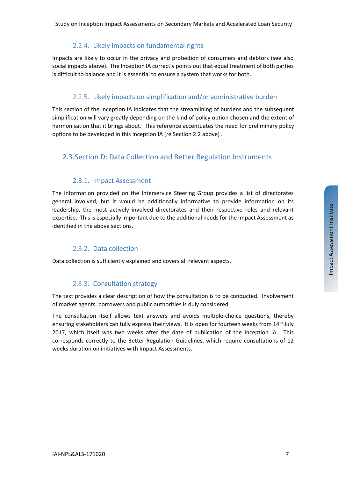Study on Inception Impact Assessments on Secondary Markets and Accelerated Loan Security

#### 2.2.4. Likely impacts on fundamental rights

Impacts are likely to occur in the privacy and protection of consumers and debtors (see also social impacts above). The Inception IA correctly points out that equal treatment of both parties is difficult to balance and it is essential to ensure a system that works for both.

#### 2.2.5. Likely impacts on simplification and/or administrative burden

This section of the Inception IA indicates that the streamlining of burdens and the subsequent simplification will vary greatly depending on the kind of policy option chosen and the extent of harmonisation that it brings about. This reference accentuates the need for preliminary policy options to be developed in this Inception IA (re Section [2.2](#page-4-0) above) .

#### 2.3.Section D: Data Collection and Better Regulation Instruments

#### 2.3.1. Impact Assessment

The information provided on the Interservice Steering Group provides a list of directorates general involved, but it would be additionally informative to provide information on its leadership, the most actively involved directorates and their respective roles and relevant expertise. This is especially important due to the additional needs for the Impact Assessment as identified in the above sections.

#### 2.3.2. Data collection

Data collection is sufficiently explained and covers all relevant aspects.

#### 2.3.3. Consultation strategy

The text provides a clear description of how the consultation is to be conducted. Involvement of market agents, borrowers and public authorities is duly considered.

The consultation itself allows text answers and avoids multiple-choice questions, thereby ensuring stakeholders can fully express their views. It is open for fourteen weeks from 14<sup>th</sup> July 2017, which itself was two weeks after the date of publication of the Inception IA. This corresponds correctly to the Better Regulation Guidelines, which require consultations of 12 weeks duration on initiatives with Impact Assessments.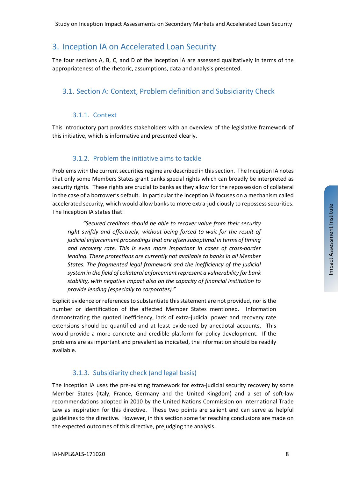## 3. Inception IA on Accelerated Loan Security

The four sections A, B, C, and D of the Inception IA are assessed qualitatively in terms of the appropriateness of the rhetoric, assumptions, data and analysis presented.

### 3.1. Section A: Context, Problem definition and Subsidiarity Check

#### 3.1.1. Context

This introductory part provides stakeholders with an overview of the legislative framework of this initiative, which is informative and presented clearly.

#### 3.1.2. Problem the initiative aims to tackle

Problems with the current securities regime are described in this section. The Inception IA notes that only some Members States grant banks special rights which can broadly be interpreted as security rights. These rights are crucial to banks as they allow for the repossession of collateral in the case of a borrower's default. In particular the Inception IA focuses on a mechanism called accelerated security, which would allow banks to move extra-judiciously to repossess securities. The Inception IA states that:

*"Secured creditors should be able to recover value from their security right swiftly and effectively, without being forced to wait for the result of judicial enforcement proceedingsthat are often suboptimal in terms of timing and recovery rate. This is even more important in cases of cross-border lending. These protections are currently not available to banks in all Member States. The fragmented legal framework and the inefficiency of the judicial system in the field of collateral enforcement represent a vulnerability for bank stability, with negative impact also on the capacity of financial institution to provide lending (especially to corporates)."*

Explicit evidence or references to substantiate this statement are not provided, nor is the number or identification of the affected Member States mentioned. Information demonstrating the quoted inefficiency, lack of extra-judicial power and recovery rate extensions should be quantified and at least evidenced by anecdotal accounts. This would provide a more concrete and credible platform for policy development. If the problems are as important and prevalent as indicated, the information should be readily available.

#### 3.1.3. Subsidiarity check (and legal basis)

The Inception IA uses the pre-existing framework for extra-judicial security recovery by some Member States (Italy, France, Germany and the United Kingdom) and a set of soft-law recommendations adopted in 2010 by the United Nations Commission on International Trade Law as inspiration for this directive. These two points are salient and can serve as helpful guidelines to the directive. However, in this section some far reaching conclusions are made on the expected outcomes of this directive, prejudging the analysis.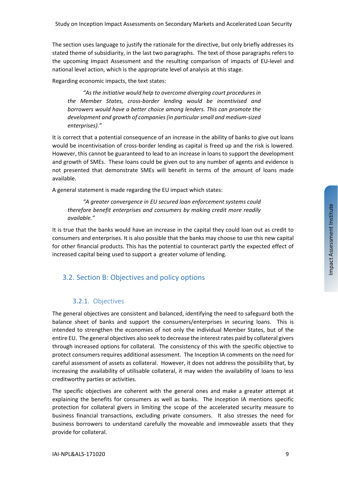The section uses language to justify the rationale for the directive, but only briefly addresses its stated theme of subsidiarity, in the last two paragraphs. The text of those paragraphs refers to the upcoming Impact Assessment and the resulting comparison of impacts of EU-level and national level action, which is the appropriate level of analysis at this stage.

Regarding economic impacts, the text states:

*"As the initiative would help to overcome diverging court procedures in the Member States, cross-border lending would be incentivised and borrowers would have a better choice among lenders. This can promote the development and growth of companies(in particularsmall and medium-sized enterprises)."*

It is correct that a potential consequence of an increase in the ability of banks to give out loans would be incentivisation of cross-border lending as capital is freed up and the risk is lowered. However, this cannot be guaranteed to lead to an increase in loans to support the development and growth of SMEs. These loans could be given out to any number of agents and evidence is not presented that demonstrate SMEs will benefit in terms of the amount of loans made available.

A general statement is made regarding the EU impact which states:

*"A greater convergence in EU secured loan enforcement systems could therefore benefit enterprises and consumers by making credit more readily available."*

It is true that the banks would have an increase in the capital they could loan out as credit to consumers and enterprises. It is also possible that the banks may choose to use this new capital for other financial products. This has the potential to counteract partly the expected effect of increased capital being used to support a greater volume of lending.

#### 3.2. Section B: Objectives and policy options

#### 3.2.1. Objectives

The general objectives are consistent and balanced, identifying the need to safeguard both the balance sheet of banks and support the consumers/enterprises in securing loans. This is intended to strengthen the economies of not only the individual Member States, but of the entire EU. The general objectives also seek to decrease the interest rates paid by collateral givers through increased options for collateral. The consistency of this with the specific objective to protect consumers requires additional assessment. The Inception IA comments on the need for careful assessment of assets as collateral. However, it does not address the possibility that, by increasing the availability of utilisable collateral, it may widen the availability of loans to less creditworthy parties or activities.

The specific objectives are coherent with the general ones and make a greater attempt at explaining the benefits for consumers as well as banks. The Inception IA mentions specific protection for collateral givers in limiting the scope of the accelerated security measure to business financial transactions, excluding private consumers. It also stresses the need for business borrowers to understand carefully the moveable and immoveable assets that they provide for collateral.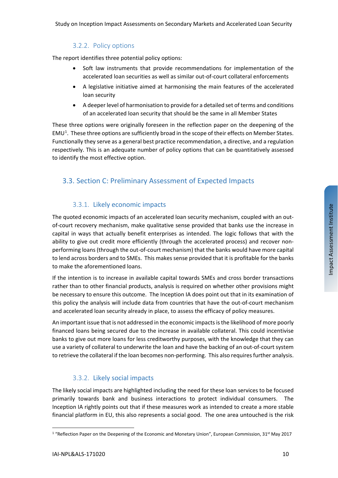#### 3.2.2. Policy options

The report identifies three potential policy options:

- Soft law instruments that provide recommendations for implementation of the accelerated loan securities as well as similar out-of-court collateral enforcements
- A legislative initiative aimed at harmonising the main features of the accelerated loan security
- A deeper level of harmonisation to provide for a detailed set of terms and conditions of an accelerated loan security that should be the same in all Member States

These three options were originally foreseen in the reflection paper on the deepening of the  $EMU<sup>1</sup>$  $EMU<sup>1</sup>$  $EMU<sup>1</sup>$ . These three options are sufficiently broad in the scope of their effects on Member States. Functionally they serve as a general best practice recommendation, a directive, and a regulation respectively. This is an adequate number of policy options that can be quantitatively assessed to identify the most effective option.

#### 3.3. Section C: Preliminary Assessment of Expected Impacts

#### 3.3.1. Likely economic impacts

The quoted economic impacts of an accelerated loan security mechanism, coupled with an outof-court recovery mechanism, make qualitative sense provided that banks use the increase in capital in ways that actually benefit enterprises as intended. The logic follows that with the ability to give out credit more efficiently (through the accelerated process) and recover nonperforming loans (through the out-of-court mechanism) that the banks would have more capital to lend across borders and to SMEs. This makes sense provided that it is profitable for the banks to make the aforementioned loans.

If the intention is to increase in available capital towards SMEs and cross border transactions rather than to other financial products, analysis is required on whether other provisions might be necessary to ensure this outcome. The Inception IA does point out that in its examination of this policy the analysis will include data from countries that have the out-of-court mechanism and accelerated loan security already in place, to assess the efficacy of policy measures.

An important issue that is not addressed in the economic impacts is the likelihood of more poorly financed loans being secured due to the increase in available collateral. This could incentivise banks to give out more loans for less creditworthy purposes, with the knowledge that they can use a variety of collateral to underwrite the loan and have the backing of an out-of-court system to retrieve the collateral if the loan becomes non-performing. This also requires further analysis.

#### 3.3.2. Likely social impacts

The likely social impacts are highlighted including the need for these loan services to be focused primarily towards bank and business interactions to protect individual consumers. The Inception IA rightly points out that if these measures work as intended to create a more stable financial platform in EU, this also represents a social good. The one area untouched is the risk

 $\overline{a}$ 

<span id="page-9-0"></span><sup>&</sup>lt;sup>1</sup> "Reflection Paper on the Deepening of the Economic and Monetary Union", European Commission, 31<sup>st</sup> May 2017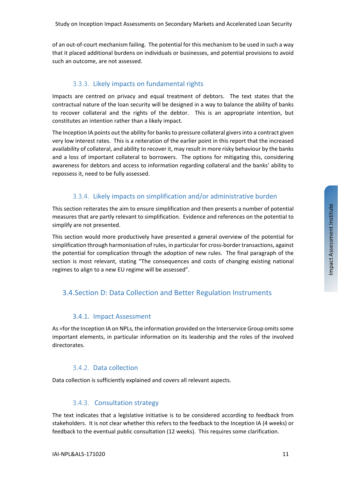Study on Inception Impact Assessments on Secondary Markets and Accelerated Loan Security

of an out-of-court mechanism failing. The potential for this mechanism to be used in such a way that it placed additional burdens on individuals or businesses, and potential provisions to avoid such an outcome, are not assessed.

#### 3.3.3. Likely impacts on fundamental rights

Impacts are centred on privacy and equal treatment of debtors. The text states that the contractual nature of the loan security will be designed in a way to balance the ability of banks to recover collateral and the rights of the debtor. This is an appropriate intention, but constitutes an intention rather than a likely impact.

The Inception IA points out the ability for banks to pressure collateral givers into a contract given very low interest rates. This is a reiteration of the earlier point in this report that the increased availability of collateral, and ability to recover it, may result in more risky behaviour by the banks and a loss of important collateral to borrowers. The options for mitigating this, considering awareness for debtors and access to information regarding collateral and the banks' ability to repossess it, need to be fully assessed.

#### 3.3.4. Likely impacts on simplification and/or administrative burden

This section reiterates the aim to ensure simplification and then presents a number of potential measures that are partly relevant to simplification. Evidence and references on the potential to simplify are not presented.

This section would more productively have presented a general overview of the potential for simplification through harmonisation of rules, in particular for cross-border transactions, against the potential for complication through the adoption of new rules. The final paragraph of the section is most relevant, stating "The consequences and costs of changing existing national regimes to align to a new EU regime will be assessed".

## 3.4.Section D: Data Collection and Better Regulation Instruments

#### 3.4.1. Impact Assessment

As =for the Inception IA on NPLs, the information provided on the Interservice Group omits some important elements, in particular information on its leadership and the roles of the involved directorates.

#### 3.4.2. Data collection

Data collection is sufficiently explained and covers all relevant aspects.

#### 3.4.3. Consultation strategy

The text indicates that a legislative initiative is to be considered according to feedback from stakeholders. It is not clear whether this refers to the feedback to the Inception IA (4 weeks) or feedback to the eventual public consultation (12 weeks). This requires some clarification.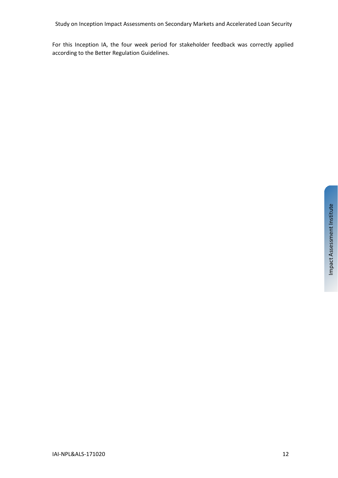For this Inception IA, the four week period for stakeholder feedback was correctly applied according to the Better Regulation Guidelines.